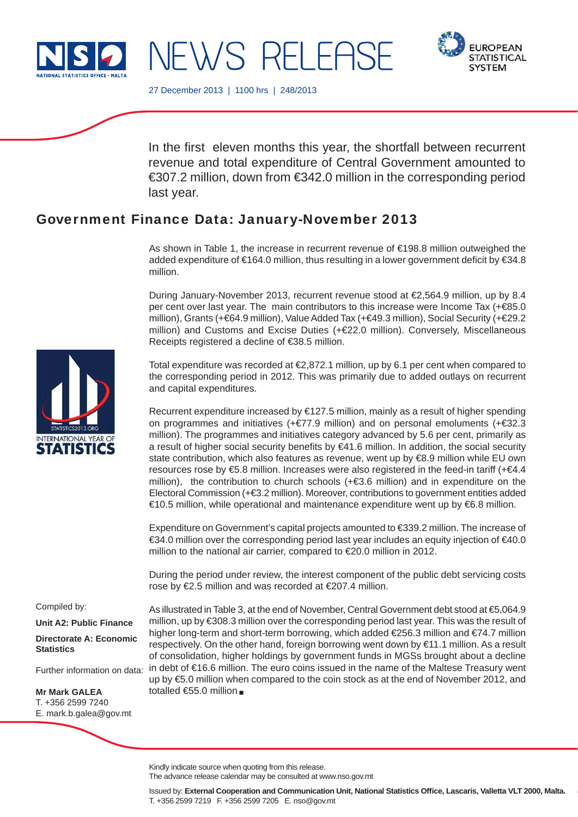



27 December 2013 | 1100 hrs | 248/2013

NEWS RELEASE

In the first eleven months this year, the shortfall between recurrent revenue and total expenditure of Central Government amounted to €307.2 million, down from €342.0 million in the corresponding period last year.

# Government Finance Data: January-November 2013

As shown in Table 1, the increase in recurrent revenue of €198.8 million outweighed the added expenditure of  $\epsilon$ 164.0 million, thus resulting in a lower government deficit by  $\epsilon$ 34.8 million.

During January-November 2013, recurrent revenue stood at €2,564.9 million, up by 8.4 per cent over last year. The main contributors to this increase were Income Tax (+ €85.0 million), Grants (+€64.9 million), Value Added Tax (+€49.3 million), Social Security (+€29.2 million) and Customs and Excise Duties (+€22.0 million). Conversely, Miscellaneous Receipts registered a decline of €38.5 million.

Total expenditure was recorded at €2,872.1 million, up by 6.1 per cent when compared to the corresponding period in 2012. This was primarily due to added outlays on recurrent and capital expenditures.

Recurrent expenditure increased by €127.5 million, mainly as a result of higher spending on programmes and initiatives (+€77.9 million) and on personal emoluments (+€32.3 million). The programmes and initiatives category advanced by 5.6 per cent, primarily as a result of higher social security benefits by  $€41.6$  million. In addition, the social security state contribution, which also features as revenue, went up by €8.9 million while EU own resources rose by €5.8 million. Increases were also registered in the feed-in tariff (+€4.4 million), the contribution to church schools  $(+\epsilon 3.6$  million) and in expenditure on the Electoral Commission (+€3.2 million). Moreover, contributions to government entities added €10.5 million, while operational and maintenance expenditure went up by €6.8 million.

Expenditure on Government's capital projects amounted to €339.2 million. The increase of €34.0 million over the corresponding period last year includes an equity injection of €40.0 million to the national air carrier, compared to €20.0 million in 2012.

During the period under review, the interest component of the public debt servicing costs rose by €2.5 million and was recorded at €207.4 million.

Compiled by:

**Unit A2: Public Finance**

**Directorate A: Economic Statistics**

Further information on data:

**Mr Mark GALEA** T. +356 2599 7240 E. mark.b.galea@gov.mt

As illustrated in Table 3, at the end of November, Central Government debt stood at €5,064.9 million, up by €308.3 million over the corresponding period last year. This was the result of higher long-term and short-term borrowing, which added €256.3 million and €74.7 million respectively. On the other hand, foreign borrowing went down by €11.1 million. As a result of consolidation, higher holdings by government funds in MGSs brought about a decline in debt of €16.6 million. The euro coins issued in the name of the Maltese Treasury went up by €5.0 million when compared to the coin stock as at the end of November 2012, and totalled €55.0 million -

Kindly indicate source when quoting from this release.

The advance release calendar may be consulted at www.nso.gov.mt

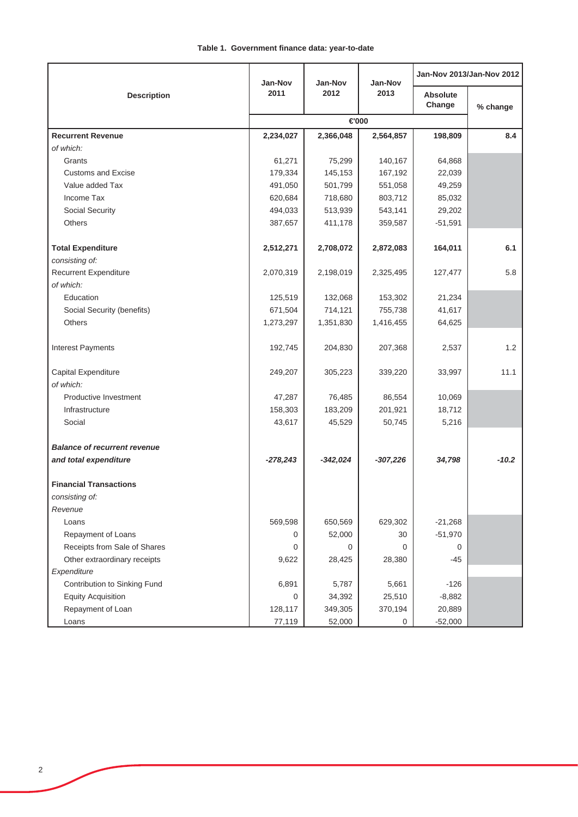### **Table 1. Government finance data: year-to-date**

|                                     | Jan-Nov    | Jan-Nov    | Jan-Nov    | Jan-Nov 2013/Jan-Nov 2012 |          |
|-------------------------------------|------------|------------|------------|---------------------------|----------|
| <b>Description</b>                  | 2011       | 2012       | 2013       | <b>Absolute</b><br>Change | % change |
|                                     | €000       |            |            |                           |          |
| <b>Recurrent Revenue</b>            | 2,234,027  | 2,366,048  | 2,564,857  | 198,809                   | 8.4      |
| of which:                           |            |            |            |                           |          |
| Grants                              | 61,271     | 75,299     | 140,167    | 64,868                    |          |
| <b>Customs and Excise</b>           | 179,334    | 145,153    | 167,192    | 22,039                    |          |
| Value added Tax                     | 491,050    | 501,799    | 551,058    | 49,259                    |          |
| Income Tax                          | 620,684    | 718,680    | 803,712    | 85,032                    |          |
| Social Security                     | 494,033    | 513,939    | 543,141    | 29,202                    |          |
| Others                              | 387,657    | 411,178    | 359,587    | $-51,591$                 |          |
|                                     |            |            |            |                           |          |
| <b>Total Expenditure</b>            | 2,512,271  | 2,708,072  | 2,872,083  | 164,011                   | 6.1      |
| consisting of:                      |            |            |            |                           |          |
| Recurrent Expenditure               | 2,070,319  | 2,198,019  | 2,325,495  | 127,477                   | 5.8      |
| of which:                           |            |            |            |                           |          |
| Education                           | 125,519    | 132,068    | 153,302    | 21,234                    |          |
| Social Security (benefits)          | 671,504    | 714,121    | 755,738    | 41,617                    |          |
| <b>Others</b>                       | 1,273,297  | 1,351,830  | 1,416,455  | 64,625                    |          |
|                                     |            |            |            |                           |          |
| <b>Interest Payments</b>            | 192,745    | 204,830    | 207,368    | 2,537                     | 1.2      |
| Capital Expenditure                 | 249,207    | 305,223    | 339,220    | 33,997                    | 11.1     |
| of which:                           |            |            |            |                           |          |
| Productive Investment               | 47,287     | 76,485     | 86,554     | 10,069                    |          |
| Infrastructure                      | 158,303    | 183,209    | 201,921    | 18,712                    |          |
| Social                              | 43,617     | 45,529     | 50,745     | 5,216                     |          |
|                                     |            |            |            |                           |          |
| <b>Balance of recurrent revenue</b> |            |            |            |                           |          |
| and total expenditure               | $-278,243$ | $-342,024$ | $-307,226$ | 34,798                    | $-10.2$  |
| <b>Financial Transactions</b>       |            |            |            |                           |          |
| consisting of:                      |            |            |            |                           |          |
| Revenue                             |            |            |            |                           |          |
| Loans                               | 569,598    | 650,569    | 629,302    | $-21,268$                 |          |
| Repayment of Loans                  | 0          | 52,000     | 30         | $-51,970$                 |          |
| Receipts from Sale of Shares        | 0          | 0          | 0          | 0                         |          |
| Other extraordinary receipts        | 9,622      | 28,425     | 28,380     | $-45$                     |          |
| Expenditure                         |            |            |            |                           |          |
| Contribution to Sinking Fund        | 6,891      | 5,787      | 5,661      | $-126$                    |          |
| <b>Equity Acquisition</b>           | 0          | 34,392     | 25,510     | $-8,882$                  |          |
| Repayment of Loan                   | 128,117    | 349,305    | 370,194    | 20,889                    |          |
| Loans                               | 77,119     | 52,000     | 0          | $-52,000$                 |          |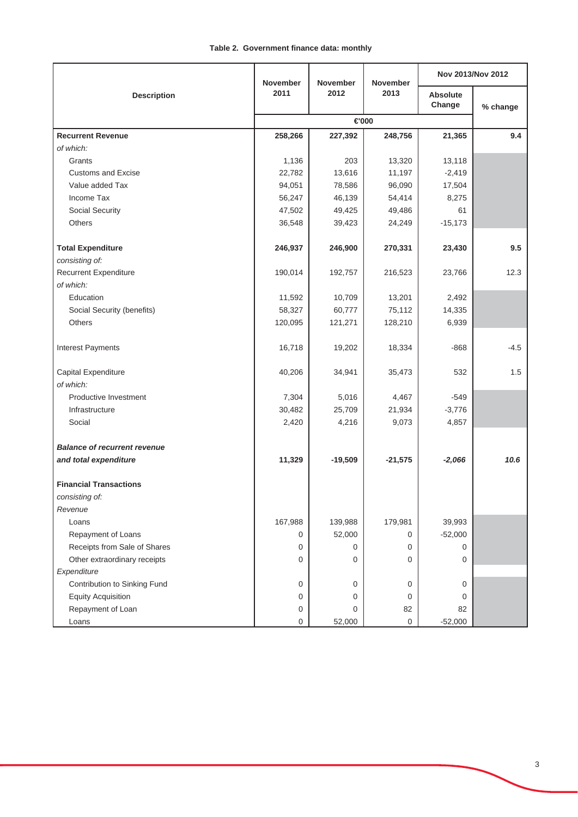## **Table 2. Government finance data: monthly**

| <b>Description</b>                  | <b>November</b> | <b>November</b> | <b>November</b>     | Nov 2013/Nov 2012  |          |
|-------------------------------------|-----------------|-----------------|---------------------|--------------------|----------|
|                                     | 2011<br>2012    |                 | 2013                | Absolute<br>Change | % change |
|                                     |                 |                 |                     |                    |          |
| <b>Recurrent Revenue</b>            | 258,266         | 227,392         | 248,756             | 21,365             | 9.4      |
| of which:                           |                 |                 |                     |                    |          |
| Grants                              | 1,136           | 203             | 13,320              | 13,118             |          |
| <b>Customs and Excise</b>           | 22,782          | 13,616          | 11,197              | $-2,419$           |          |
| Value added Tax                     | 94,051          | 78,586          | 96,090              | 17,504             |          |
| Income Tax                          | 56,247          | 46,139          | 54,414              | 8,275              |          |
| Social Security                     | 47,502          | 49,425          | 49,486              | 61                 |          |
| Others                              | 36,548          | 39,423          | 24,249              | $-15,173$          |          |
| <b>Total Expenditure</b>            | 246,937         | 246,900         | 270,331             | 23,430             | 9.5      |
| consisting of:                      |                 |                 |                     |                    |          |
| <b>Recurrent Expenditure</b>        | 190,014         | 192,757         | 216,523             | 23,766             | 12.3     |
| of which:                           |                 |                 |                     |                    |          |
| Education                           | 11,592          | 10,709          | 13,201              | 2,492              |          |
| Social Security (benefits)          | 58,327          | 60,777          | 75,112              | 14,335             |          |
| Others                              | 120,095         | 121,271         | 128,210             | 6,939              |          |
| <b>Interest Payments</b>            | 16,718          | 19,202          | 18,334              | -868               | $-4.5$   |
| Capital Expenditure                 | 40,206          | 34,941          | 35,473              | 532                | 1.5      |
| of which:                           |                 |                 |                     |                    |          |
| Productive Investment               | 7,304           | 5,016           | 4,467               | $-549$             |          |
| Infrastructure                      | 30,482          | 25,709          | 21,934              | $-3,776$           |          |
| Social                              | 2,420           | 4,216           | 9,073               | 4,857              |          |
| <b>Balance of recurrent revenue</b> |                 |                 |                     |                    |          |
| and total expenditure               | 11,329          | $-19,509$       | $-21,575$           | $-2,066$           | 10.6     |
| <b>Financial Transactions</b>       |                 |                 |                     |                    |          |
| consisting of:                      |                 |                 |                     |                    |          |
| Revenue                             |                 |                 |                     |                    |          |
| Loans                               | 167,988         | 139,988         | 179,981             | 39,993             |          |
| Repayment of Loans                  | 0               | 52,000          | 0                   | $-52,000$          |          |
| Receipts from Sale of Shares        | 0               | 0               | 0                   | 0                  |          |
| Other extraordinary receipts        | 0               | 0               | 0                   | 0                  |          |
| Expenditure                         |                 |                 |                     |                    |          |
| Contribution to Sinking Fund        | 0               | 0               | 0                   | 0                  |          |
| <b>Equity Acquisition</b>           | 0               | 0               | 0                   | 0                  |          |
| Repayment of Loan                   | 0               | 0               | 82                  | 82                 |          |
| Loans                               | $\Omega$        | 52,000          | $\mathsf{O}\xspace$ | $-52,000$          |          |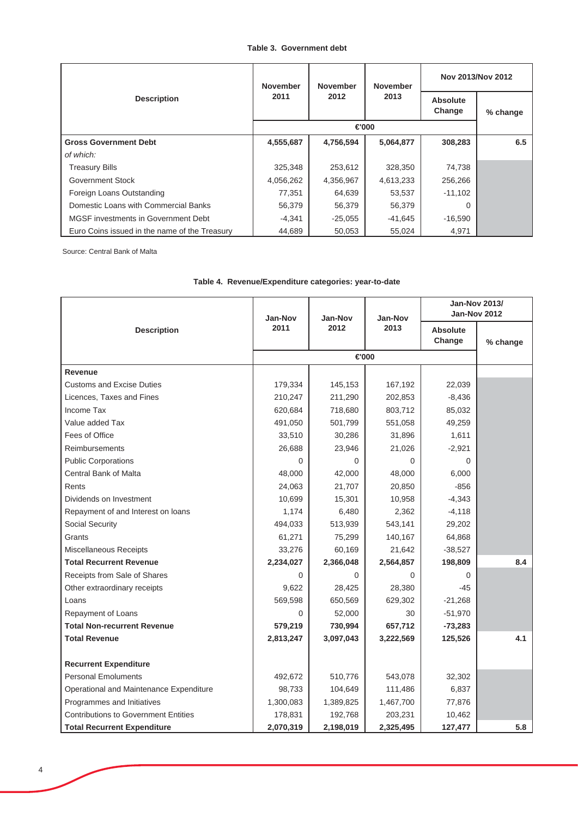#### **Table 3. Government debt**

|                                               | <b>November</b><br>2011 | <b>November</b><br>2012 | <b>November</b><br>2013 | Nov 2013/Nov 2012  |          |
|-----------------------------------------------|-------------------------|-------------------------|-------------------------|--------------------|----------|
| <b>Description</b>                            |                         |                         |                         | Absolute<br>Change | % change |
|                                               | €000                    |                         |                         |                    |          |
| <b>Gross Government Debt</b>                  | 4,555,687               | 4,756,594               | 5,064,877               | 308,283            | 6.5      |
| of which:                                     |                         |                         |                         |                    |          |
| <b>Treasury Bills</b>                         | 325,348                 | 253,612                 | 328,350                 | 74,738             |          |
| Government Stock                              | 4,056,262               | 4,356,967               | 4,613,233               | 256,266            |          |
| Foreign Loans Outstanding                     | 77,351                  | 64,639                  | 53,537                  | $-11,102$          |          |
| Domestic Loans with Commercial Banks          | 56,379                  | 56,379                  | 56,379                  | 0                  |          |
| MGSF investments in Government Debt           | $-4,341$                | $-25.055$               | -41.645                 | $-16,590$          |          |
| Euro Coins issued in the name of the Treasury | 44.689                  | 50,053                  | 55,024                  | 4,971              |          |

Source: Central Bank of Malta

|                                             | <b>Jan-Nov</b> | Jan-Nov   | <b>Jan-Nov</b> |                           | <b>Jan-Nov 2013/</b><br><b>Jan-Nov 2012</b> |
|---------------------------------------------|----------------|-----------|----------------|---------------------------|---------------------------------------------|
| <b>Description</b>                          | 2011           | 2012      | 2013           | <b>Absolute</b><br>Change | % change                                    |
|                                             |                |           |                |                           |                                             |
| Revenue                                     |                |           |                |                           |                                             |
| <b>Customs and Excise Duties</b>            | 179,334        | 145,153   | 167,192        | 22,039                    |                                             |
| Licences, Taxes and Fines                   | 210,247        | 211,290   | 202,853        | $-8,436$                  |                                             |
| Income Tax                                  | 620.684        | 718,680   | 803,712        | 85,032                    |                                             |
| Value added Tax                             | 491,050        | 501,799   | 551,058        | 49,259                    |                                             |
| Fees of Office                              | 33,510         | 30,286    | 31,896         | 1,611                     |                                             |
| Reimbursements                              | 26,688         | 23,946    | 21,026         | $-2,921$                  |                                             |
| <b>Public Corporations</b>                  | $\Omega$       | 0         | $\Omega$       | 0                         |                                             |
| Central Bank of Malta                       | 48,000         | 42,000    | 48,000         | 6,000                     |                                             |
| Rents                                       | 24,063         | 21,707    | 20,850         | $-856$                    |                                             |
| Dividends on Investment                     | 10,699         | 15,301    | 10,958         | $-4,343$                  |                                             |
| Repayment of and Interest on loans          | 1,174          | 6,480     | 2,362          | $-4,118$                  |                                             |
| Social Security                             | 494,033        | 513,939   | 543,141        | 29,202                    |                                             |
| Grants                                      | 61,271         | 75,299    | 140,167        | 64,868                    |                                             |
| Miscellaneous Receipts                      | 33,276         | 60,169    | 21,642         | $-38,527$                 |                                             |
| <b>Total Recurrent Revenue</b>              | 2,234,027      | 2,366,048 | 2,564,857      | 198,809                   | 8.4                                         |
| Receipts from Sale of Shares                | 0              | 0         | $\Omega$       | $\Omega$                  |                                             |
| Other extraordinary receipts                | 9,622          | 28,425    | 28,380         | $-45$                     |                                             |
| Loans                                       | 569,598        | 650,569   | 629,302        | $-21,268$                 |                                             |
| Repayment of Loans                          | 0              | 52,000    | 30             | $-51,970$                 |                                             |
| <b>Total Non-recurrent Revenue</b>          | 579,219        | 730,994   | 657,712        | $-73,283$                 |                                             |
| <b>Total Revenue</b>                        | 2,813,247      | 3,097,043 | 3,222,569      | 125,526                   | 4.1                                         |
|                                             |                |           |                |                           |                                             |
| <b>Recurrent Expenditure</b>                |                |           |                |                           |                                             |
| <b>Personal Emoluments</b>                  | 492,672        | 510,776   | 543,078        | 32,302                    |                                             |
| Operational and Maintenance Expenditure     | 98,733         | 104,649   | 111,486        | 6,837                     |                                             |
| Programmes and Initiatives                  | 1,300,083      | 1,389,825 | 1,467,700      | 77,876                    |                                             |
| <b>Contributions to Government Entities</b> | 178,831        | 192,768   | 203,231        | 10,462                    |                                             |
| <b>Total Recurrent Expenditure</b>          | 2,070,319      | 2,198,019 | 2,325,495      | 127,477                   | 5.8                                         |

# **Table 4. Revenue/Expenditure categories: year-to-date**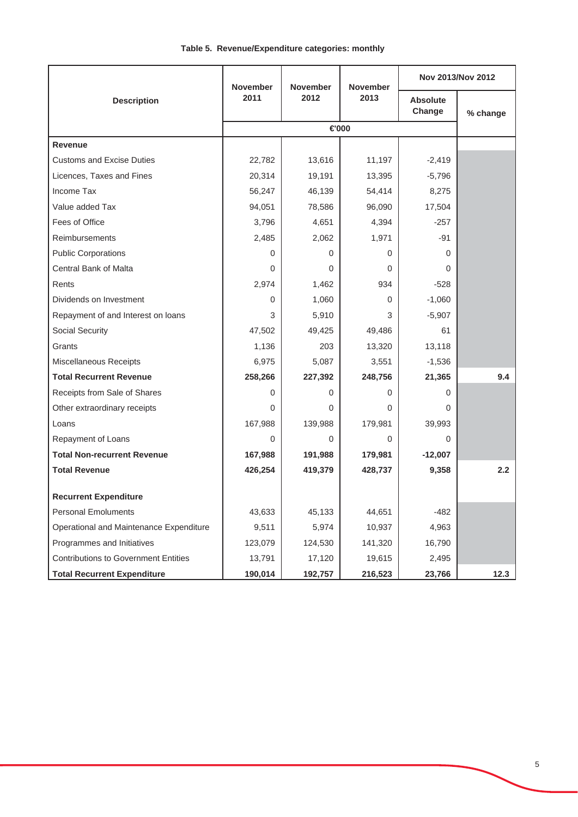|  | Table 5. Revenue/Expenditure categories: monthly |  |  |
|--|--------------------------------------------------|--|--|
|--|--------------------------------------------------|--|--|

|                                             | <b>November</b><br>2011<br>2012 | <b>November</b> | <b>November</b><br>2013 | Nov 2013/Nov 2012         |          |
|---------------------------------------------|---------------------------------|-----------------|-------------------------|---------------------------|----------|
| <b>Description</b>                          |                                 |                 |                         | <b>Absolute</b><br>Change | % change |
|                                             |                                 | €000            |                         |                           |          |
| <b>Revenue</b>                              |                                 |                 |                         |                           |          |
| <b>Customs and Excise Duties</b>            | 22,782                          | 13,616          | 11,197                  | $-2,419$                  |          |
| Licences, Taxes and Fines                   | 20,314                          | 19,191          | 13,395                  | $-5,796$                  |          |
| Income Tax                                  | 56,247                          | 46,139          | 54,414                  | 8,275                     |          |
| Value added Tax                             | 94,051                          | 78,586          | 96,090                  | 17,504                    |          |
| Fees of Office                              | 3,796                           | 4,651           | 4,394                   | $-257$                    |          |
| Reimbursements                              | 2,485                           | 2,062           | 1,971                   | -91                       |          |
| <b>Public Corporations</b>                  | $\Omega$                        | 0               | 0                       | $\Omega$                  |          |
| Central Bank of Malta                       | $\Omega$                        | 0               | 0                       | 0                         |          |
| Rents                                       | 2,974                           | 1,462           | 934                     | $-528$                    |          |
| Dividends on Investment                     | 0                               | 1,060           | 0                       | $-1,060$                  |          |
| Repayment of and Interest on loans          | 3                               | 5,910           | 3                       | $-5,907$                  |          |
| Social Security                             | 47,502                          | 49,425          | 49,486                  | 61                        |          |
| Grants                                      | 1,136                           | 203             | 13,320                  | 13,118                    |          |
| Miscellaneous Receipts                      | 6,975                           | 5,087           | 3,551                   | $-1,536$                  |          |
| <b>Total Recurrent Revenue</b>              | 258,266                         | 227,392         | 248,756                 | 21,365                    | 9.4      |
| Receipts from Sale of Shares                | $\Omega$                        | 0               | 0                       | $\Omega$                  |          |
| Other extraordinary receipts                | $\Omega$                        | 0               | 0                       | 0                         |          |
| Loans                                       | 167,988                         | 139,988         | 179,981                 | 39,993                    |          |
| Repayment of Loans                          | 0                               | 0               | 0                       | $\Omega$                  |          |
| <b>Total Non-recurrent Revenue</b>          | 167,988                         | 191,988         | 179,981                 | $-12,007$                 |          |
| <b>Total Revenue</b>                        | 426,254                         | 419,379         | 428,737                 | 9,358                     | 2.2      |
| <b>Recurrent Expenditure</b>                |                                 |                 |                         |                           |          |
| <b>Personal Emoluments</b>                  | 43,633                          | 45,133          | 44,651                  | $-482$                    |          |
| Operational and Maintenance Expenditure     | 9,511                           | 5,974           | 10,937                  | 4,963                     |          |
| Programmes and Initiatives                  | 123,079                         | 124,530         | 141,320                 | 16,790                    |          |
| <b>Contributions to Government Entities</b> | 13,791                          | 17,120          | 19,615                  | 2,495                     |          |
| <b>Total Recurrent Expenditure</b>          | 190,014                         | 192,757         | 216,523                 | 23,766                    | 12.3     |